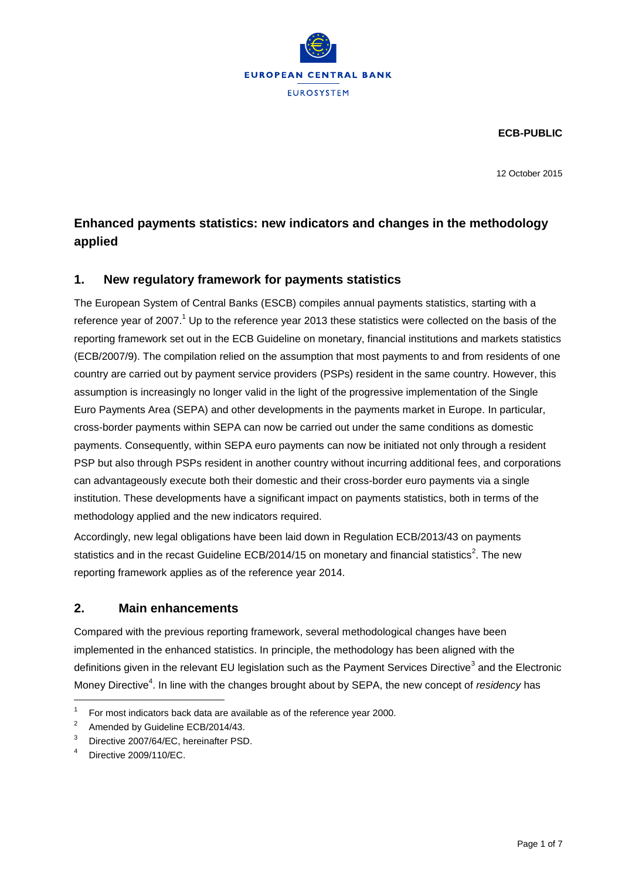

**ECB-PUBLIC**

12 October 2015

# **Enhanced payments statistics: new indicators and changes in the methodology applied**

# **1. New regulatory framework for payments statistics**

The European System of Central Banks (ESCB) compiles annual payments statistics, starting with a reference year of 2007.<sup>1</sup> Up to the reference year 2013 these statistics were collected on the basis of the reporting framework set out in the ECB Guideline on monetary, financial institutions and markets statistics (ECB/2007/9). The compilation relied on the assumption that most payments to and from residents of one country are carried out by payment service providers (PSPs) resident in the same country. However, this assumption is increasingly no longer valid in the light of the progressive implementation of the Single Euro Payments Area (SEPA) and other developments in the payments market in Europe. In particular, cross-border payments within SEPA can now be carried out under the same conditions as domestic payments. Consequently, within SEPA euro payments can now be initiated not only through a resident PSP but also through PSPs resident in another country without incurring additional fees, and corporations can advantageously execute both their domestic and their cross-border euro payments via a single institution. These developments have a significant impact on payments statistics, both in terms of the methodology applied and the new indicators required.

Accordingly, new legal obligations have been laid down in Regulation ECB/2013/43 on payments statistics and in the recast Guideline ECB/2014/15 on monetary and financial statistics<sup>2</sup>. The new reporting framework applies as of the reference year 2014.

### **2. Main enhancements**

Compared with the previous reporting framework, several methodological changes have been implemented in the enhanced statistics. In principle, the methodology has been aligned with the definitions given in the relevant EU legislation such as the Payment Services Directive<sup>3</sup> and the Electronic Money Directive<sup>4</sup>. In line with the changes brought about by SEPA, the new concept of *residency* has

l

<sup>1</sup> For most indicators back data are available as of the reference year 2000.

<sup>2</sup> Amended by Guideline ECB/2014/43.

<sup>&</sup>lt;sup>3</sup> Directive 2007/64/EC, hereinafter PSD.

<sup>4</sup> Directive 2009/110/EC.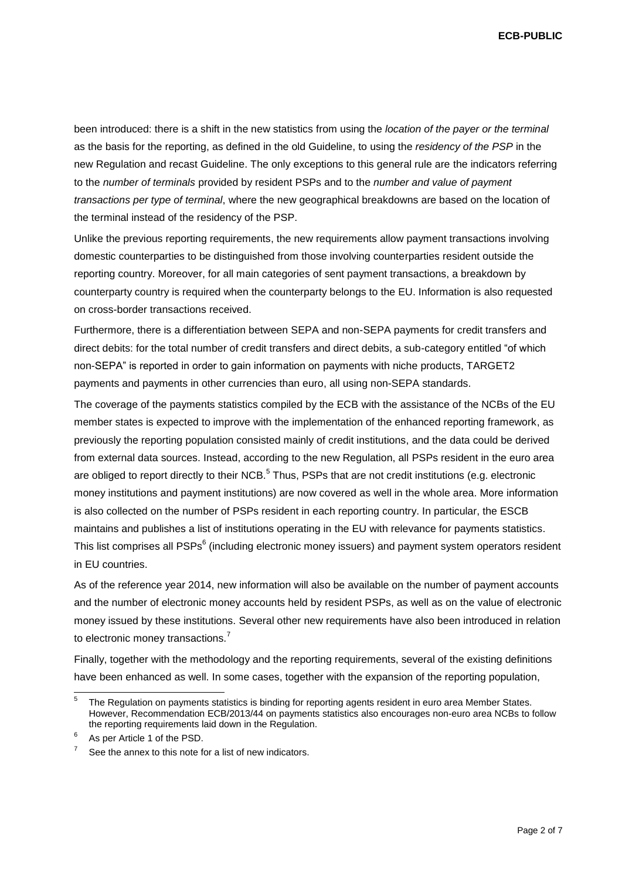**ECB-PUBLIC**

been introduced: there is a shift in the new statistics from using the *location of the payer or the terminal* as the basis for the reporting, as defined in the old Guideline, to using the *residency of the PSP* in the new Regulation and recast Guideline. The only exceptions to this general rule are the indicators referring to the *number of terminals* provided by resident PSPs and to the *number and value of payment transactions per type of terminal*, where the new geographical breakdowns are based on the location of the terminal instead of the residency of the PSP.

Unlike the previous reporting requirements, the new requirements allow payment transactions involving domestic counterparties to be distinguished from those involving counterparties resident outside the reporting country. Moreover, for all main categories of sent payment transactions, a breakdown by counterparty country is required when the counterparty belongs to the EU. Information is also requested on cross-border transactions received.

Furthermore, there is a differentiation between SEPA and non-SEPA payments for credit transfers and direct debits: for the total number of credit transfers and direct debits, a sub-category entitled "of which non-SEPA" is reported in order to gain information on payments with niche products, TARGET2 payments and payments in other currencies than euro, all using non-SEPA standards.

The coverage of the payments statistics compiled by the ECB with the assistance of the NCBs of the EU member states is expected to improve with the implementation of the enhanced reporting framework, as previously the reporting population consisted mainly of credit institutions, and the data could be derived from external data sources. Instead, according to the new Regulation, all PSPs resident in the euro area are obliged to report directly to their NCB.<sup>5</sup> Thus, PSPs that are not credit institutions (e.g. electronic money institutions and payment institutions) are now covered as well in the whole area. More information is also collected on the number of PSPs resident in each reporting country. In particular, the ESCB maintains and publishes a list of institutions operating in the EU with relevance for payments statistics. This list comprises all PSPs $^6$  (including electronic money issuers) and payment system operators resident in EU countries.

As of the reference year 2014, new information will also be available on the number of payment accounts and the number of electronic money accounts held by resident PSPs, as well as on the value of electronic money issued by these institutions. Several other new requirements have also been introduced in relation to electronic money transactions.<sup>7</sup>

Finally, together with the methodology and the reporting requirements, several of the existing definitions have been enhanced as well. In some cases, together with the expansion of the reporting population,

l

<sup>5</sup> The Regulation on payments statistics is binding for reporting agents resident in euro area Member States. However, Recommendation ECB/2013/44 on payments statistics also encourages non-euro area NCBs to follow the reporting requirements laid down in the Regulation.

<sup>6</sup> As per Article 1 of the PSD.

<sup>7</sup> See the annex to this note for a list of new indicators.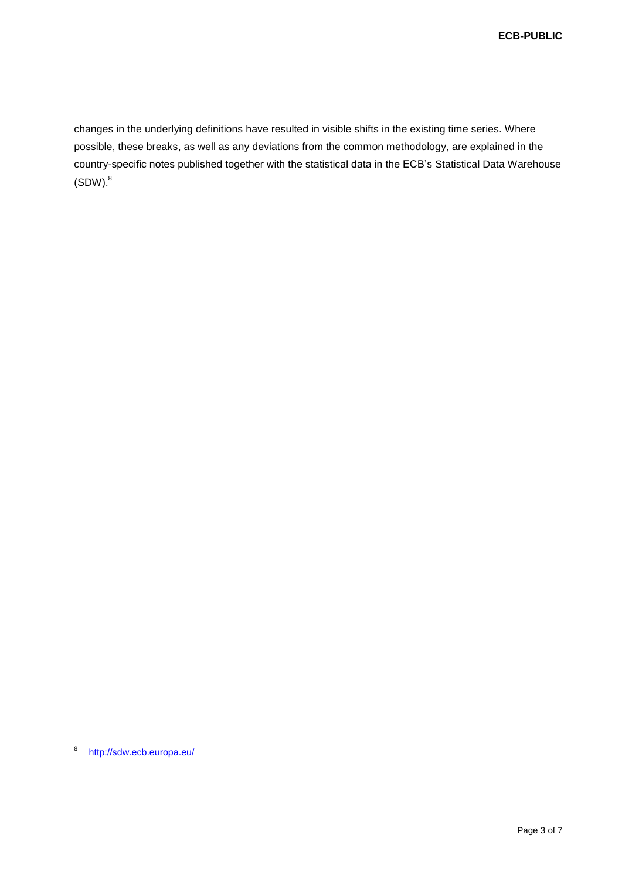changes in the underlying definitions have resulted in visible shifts in the existing time series. Where possible, these breaks, as well as any deviations from the common methodology, are explained in the country-specific notes published together with the statistical data in the ECB's Statistical Data Warehouse  $(SDW)<sup>8</sup>$ 

<sup>-&</sup>lt;br>8 <http://sdw.ecb.europa.eu/>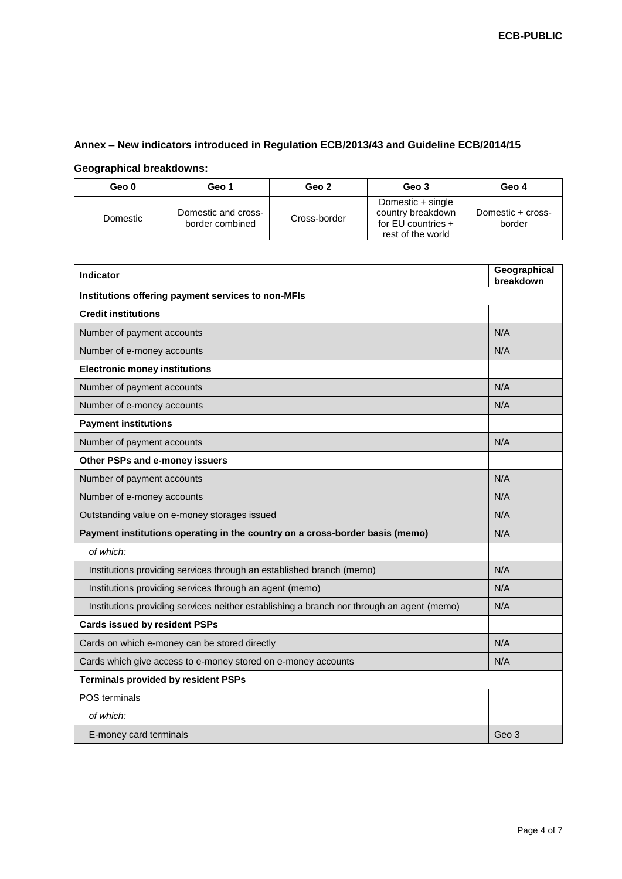# **Annex – New indicators introduced in Regulation ECB/2013/43 and Guideline ECB/2014/15**

#### **Geographical breakdowns:**

| Geo 0    | Geo 1                                  | Geo 2        | Geo 3                                                                             | Geo 4                       |
|----------|----------------------------------------|--------------|-----------------------------------------------------------------------------------|-----------------------------|
| Domestic | Domestic and cross-<br>border combined | Cross-border | Domestic + single<br>country breakdown<br>for EU countries +<br>rest of the world | Domestic + cross-<br>border |

| Indicator                                                                                 | Geographical<br>breakdown |  |  |  |
|-------------------------------------------------------------------------------------------|---------------------------|--|--|--|
| Institutions offering payment services to non-MFIs                                        |                           |  |  |  |
| <b>Credit institutions</b>                                                                |                           |  |  |  |
| Number of payment accounts                                                                | N/A                       |  |  |  |
| Number of e-money accounts                                                                | N/A                       |  |  |  |
| <b>Electronic money institutions</b>                                                      |                           |  |  |  |
| Number of payment accounts                                                                | N/A                       |  |  |  |
| Number of e-money accounts                                                                | N/A                       |  |  |  |
| <b>Payment institutions</b>                                                               |                           |  |  |  |
| Number of payment accounts                                                                | N/A                       |  |  |  |
| Other PSPs and e-money issuers                                                            |                           |  |  |  |
| Number of payment accounts                                                                | N/A                       |  |  |  |
| Number of e-money accounts                                                                | N/A                       |  |  |  |
| Outstanding value on e-money storages issued                                              | N/A                       |  |  |  |
| Payment institutions operating in the country on a cross-border basis (memo)              | N/A                       |  |  |  |
| of which:                                                                                 |                           |  |  |  |
| Institutions providing services through an established branch (memo)                      | N/A                       |  |  |  |
| Institutions providing services through an agent (memo)                                   | N/A                       |  |  |  |
| Institutions providing services neither establishing a branch nor through an agent (memo) | N/A                       |  |  |  |
| <b>Cards issued by resident PSPs</b>                                                      |                           |  |  |  |
| Cards on which e-money can be stored directly                                             | N/A                       |  |  |  |
| Cards which give access to e-money stored on e-money accounts                             | N/A                       |  |  |  |
| <b>Terminals provided by resident PSPs</b>                                                |                           |  |  |  |
| POS terminals                                                                             |                           |  |  |  |
| of which:                                                                                 |                           |  |  |  |
| E-money card terminals                                                                    | Geo 3                     |  |  |  |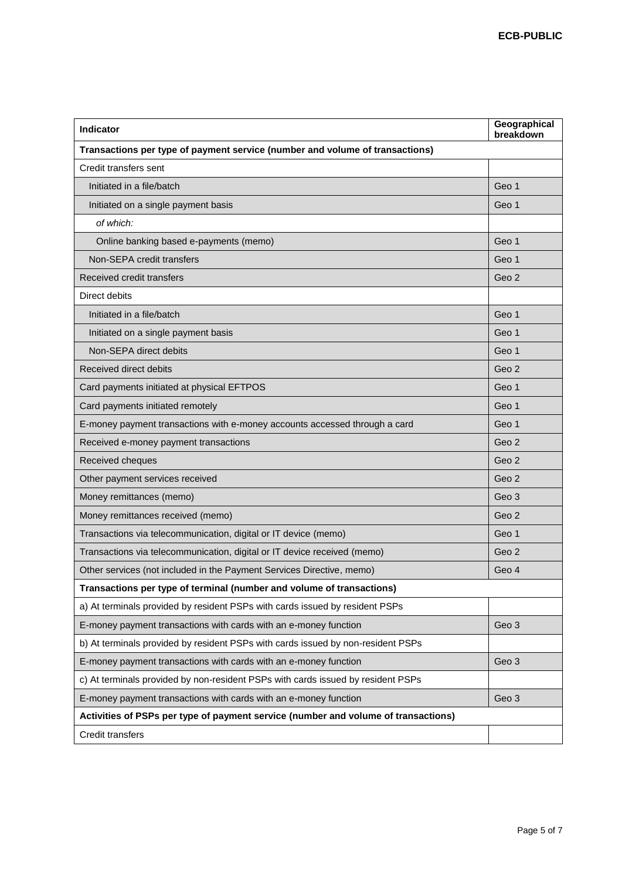| <b>Indicator</b>                                                                   | Geographical<br>breakdown |  |  |  |
|------------------------------------------------------------------------------------|---------------------------|--|--|--|
| Transactions per type of payment service (number and volume of transactions)       |                           |  |  |  |
| Credit transfers sent                                                              |                           |  |  |  |
| Initiated in a file/batch                                                          | Geo 1                     |  |  |  |
| Initiated on a single payment basis                                                | Geo 1                     |  |  |  |
| of which:                                                                          |                           |  |  |  |
| Online banking based e-payments (memo)                                             | Geo 1                     |  |  |  |
| Non-SEPA credit transfers                                                          | Geo 1                     |  |  |  |
| Received credit transfers                                                          | Geo 2                     |  |  |  |
| Direct debits                                                                      |                           |  |  |  |
| Initiated in a file/batch                                                          | Geo 1                     |  |  |  |
| Initiated on a single payment basis                                                | Geo 1                     |  |  |  |
| Non-SEPA direct debits                                                             | Geo 1                     |  |  |  |
| Received direct debits                                                             | Geo 2                     |  |  |  |
| Card payments initiated at physical EFTPOS                                         | Geo 1                     |  |  |  |
| Card payments initiated remotely                                                   | Geo 1                     |  |  |  |
| E-money payment transactions with e-money accounts accessed through a card         | Geo 1                     |  |  |  |
| Received e-money payment transactions                                              | Geo 2                     |  |  |  |
| Received cheques                                                                   | Geo 2                     |  |  |  |
| Other payment services received                                                    | Geo 2                     |  |  |  |
| Money remittances (memo)                                                           | Geo 3                     |  |  |  |
| Money remittances received (memo)                                                  | Geo 2                     |  |  |  |
| Transactions via telecommunication, digital or IT device (memo)                    | Geo 1                     |  |  |  |
| Transactions via telecommunication, digital or IT device received (memo)           | Geo 2                     |  |  |  |
| Other services (not included in the Payment Services Directive, memo)              | Geo 4                     |  |  |  |
| Transactions per type of terminal (number and volume of transactions)              |                           |  |  |  |
| a) At terminals provided by resident PSPs with cards issued by resident PSPs       |                           |  |  |  |
| E-money payment transactions with cards with an e-money function                   | Geo 3                     |  |  |  |
| b) At terminals provided by resident PSPs with cards issued by non-resident PSPs   |                           |  |  |  |
| E-money payment transactions with cards with an e-money function                   | Geo 3                     |  |  |  |
| c) At terminals provided by non-resident PSPs with cards issued by resident PSPs   |                           |  |  |  |
| E-money payment transactions with cards with an e-money function                   | Geo 3                     |  |  |  |
| Activities of PSPs per type of payment service (number and volume of transactions) |                           |  |  |  |
| Credit transfers                                                                   |                           |  |  |  |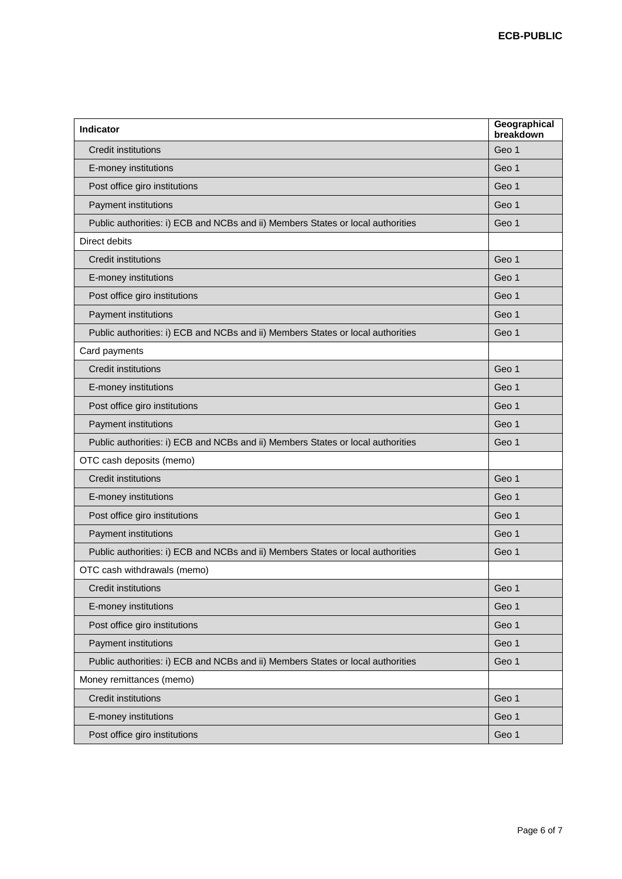| <b>Indicator</b>                                                                | Geographical<br>breakdown |
|---------------------------------------------------------------------------------|---------------------------|
| <b>Credit institutions</b>                                                      | Geo 1                     |
| E-money institutions                                                            | Geo 1                     |
| Post office giro institutions                                                   | Geo 1                     |
| Payment institutions                                                            | Geo 1                     |
| Public authorities: i) ECB and NCBs and ii) Members States or local authorities | Geo 1                     |
| Direct debits                                                                   |                           |
| <b>Credit institutions</b>                                                      | Geo 1                     |
| E-money institutions                                                            | Geo 1                     |
| Post office giro institutions                                                   | Geo 1                     |
| Payment institutions                                                            | Geo 1                     |
| Public authorities: i) ECB and NCBs and ii) Members States or local authorities | Geo 1                     |
| Card payments                                                                   |                           |
| <b>Credit institutions</b>                                                      | Geo 1                     |
| E-money institutions                                                            | Geo 1                     |
| Post office giro institutions                                                   | Geo 1                     |
| Payment institutions                                                            | Geo 1                     |
| Public authorities: i) ECB and NCBs and ii) Members States or local authorities | Geo 1                     |
| OTC cash deposits (memo)                                                        |                           |
| <b>Credit institutions</b>                                                      | Geo 1                     |
| E-money institutions                                                            | Geo 1                     |
| Post office giro institutions                                                   | Geo 1                     |
| Payment institutions                                                            | Geo 1                     |
| Public authorities: i) ECB and NCBs and ii) Members States or local authorities | Geo 1                     |
| OTC cash withdrawals (memo)                                                     |                           |
| <b>Credit institutions</b>                                                      | Geo 1                     |
| E-money institutions                                                            | Geo 1                     |
| Post office giro institutions                                                   | Geo 1                     |
| Payment institutions                                                            | Geo 1                     |
| Public authorities: i) ECB and NCBs and ii) Members States or local authorities | Geo 1                     |
| Money remittances (memo)                                                        |                           |
| <b>Credit institutions</b>                                                      | Geo 1                     |
| E-money institutions                                                            | Geo 1                     |
| Post office giro institutions                                                   | Geo 1                     |